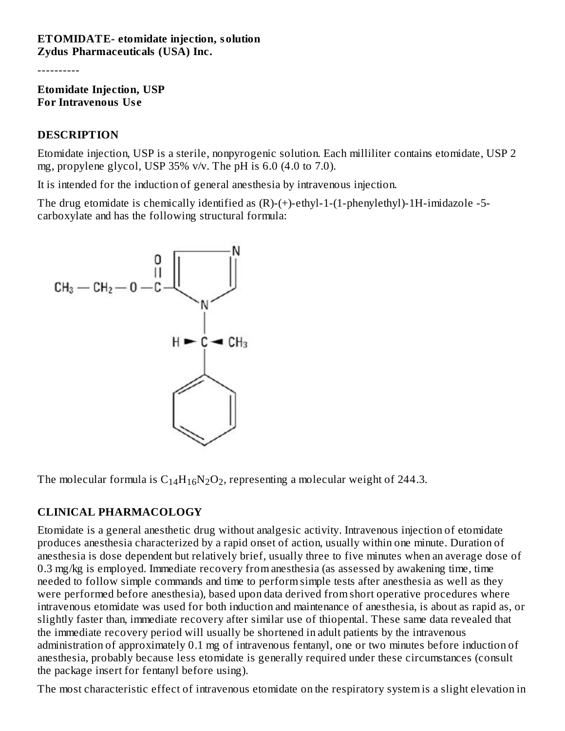#### **ETOMIDATE- etomidate injection, solution Zydus Pharmaceuticals (USA) Inc.**

----------

**Etomidate Injection, USP For Intravenous Us e**

#### **DESCRIPTION**

Etomidate injection, USP is a sterile, nonpyrogenic solution. Each milliliter contains etomidate, USP 2 mg, propylene glycol, USP 35% v/v. The pH is 6.0 (4.0 to 7.0).

It is intended for the induction of general anesthesia by intravenous injection.

The drug etomidate is chemically identified as (R)-(+)-ethyl-1-(1-phenylethyl)-1H-imidazole -5 carboxylate and has the following structural formula:



The molecular formula is  $C_{14}H_{16}N_2O_2$ , representing a molecular weight of 244.3.

# **CLINICAL PHARMACOLOGY**

Etomidate is a general anesthetic drug without analgesic activity. Intravenous injection of etomidate produces anesthesia characterized by a rapid onset of action, usually within one minute. Duration of anesthesia is dose dependent but relatively brief, usually three to five minutes when an average dose of 0.3 mg/kg is employed. Immediate recovery from anesthesia (as assessed by awakening time, time needed to follow simple commands and time to perform simple tests after anesthesia as well as they were performed before anesthesia), based upon data derived from short operative procedures where intravenous etomidate was used for both induction and maintenance of anesthesia, is about as rapid as, or slightly faster than, immediate recovery after similar use of thiopental. These same data revealed that the immediate recovery period will usually be shortened in adult patients by the intravenous administration of approximately 0.1 mg of intravenous fentanyl, one or two minutes before induction of anesthesia, probably because less etomidate is generally required under these circumstances (consult the package insert for fentanyl before using).

The most characteristic effect of intravenous etomidate on the respiratory system is a slight elevation in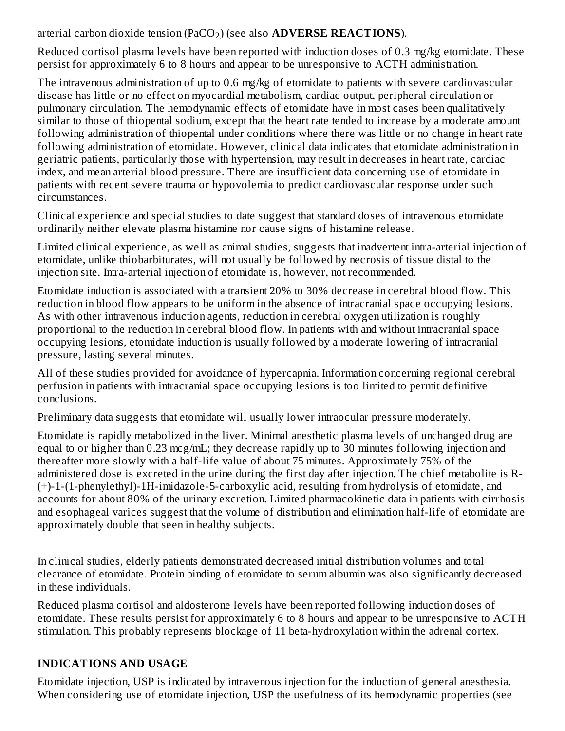# arterial carbon dioxide tension (PaCO<sub>2</sub>) (see also **ADVERSE REACTIONS**).

Reduced cortisol plasma levels have been reported with induction doses of 0.3 mg/kg etomidate. These persist for approximately 6 to 8 hours and appear to be unresponsive to ACTH administration.

The intravenous administration of up to 0.6 mg/kg of etomidate to patients with severe cardiovascular disease has little or no effect on myocardial metabolism, cardiac output, peripheral circulation or pulmonary circulation. The hemodynamic effects of etomidate have in most cases been qualitatively similar to those of thiopental sodium, except that the heart rate tended to increase by a moderate amount following administration of thiopental under conditions where there was little or no change in heart rate following administration of etomidate. However, clinical data indicates that etomidate administration in geriatric patients, particularly those with hypertension, may result in decreases in heart rate, cardiac index, and mean arterial blood pressure. There are insufficient data concerning use of etomidate in patients with recent severe trauma or hypovolemia to predict cardiovascular response under such circumstances.

Clinical experience and special studies to date suggest that standard doses of intravenous etomidate ordinarily neither elevate plasma histamine nor cause signs of histamine release.

Limited clinical experience, as well as animal studies, suggests that inadvertent intra-arterial injection of etomidate, unlike thiobarbiturates, will not usually be followed by necrosis of tissue distal to the injection site. Intra-arterial injection of etomidate is, however, not recommended.

Etomidate induction is associated with a transient 20% to 30% decrease in cerebral blood flow. This reduction in blood flow appears to be uniform in the absence of intracranial space occupying lesions. As with other intravenous induction agents, reduction in cerebral oxygen utilization is roughly proportional to the reduction in cerebral blood flow. In patients with and without intracranial space occupying lesions, etomidate induction is usually followed by a moderate lowering of intracranial pressure, lasting several minutes.

All of these studies provided for avoidance of hypercapnia. Information concerning regional cerebral perfusion in patients with intracranial space occupying lesions is too limited to permit definitive conclusions.

Preliminary data suggests that etomidate will usually lower intraocular pressure moderately.

Etomidate is rapidly metabolized in the liver. Minimal anesthetic plasma levels of unchanged drug are equal to or higher than 0.23 mcg/mL; they decrease rapidly up to 30 minutes following injection and thereafter more slowly with a half-life value of about 75 minutes. Approximately 75% of the administered dose is excreted in the urine during the first day after injection. The chief metabolite is R- (+)-1-(1-phenylethyl)-1H-imidazole-5-carboxylic acid, resulting from hydrolysis of etomidate, and accounts for about 80% of the urinary excretion. Limited pharmacokinetic data in patients with cirrhosis and esophageal varices suggest that the volume of distribution and elimination half-life of etomidate are approximately double that seen in healthy subjects.

In clinical studies, elderly patients demonstrated decreased initial distribution volumes and total clearance of etomidate. Protein binding of etomidate to serum albumin was also significantly decreased in these individuals.

Reduced plasma cortisol and aldosterone levels have been reported following induction doses of etomidate. These results persist for approximately 6 to 8 hours and appear to be unresponsive to ACTH stimulation. This probably represents blockage of 11 beta-hydroxylation within the adrenal cortex.

# **INDICATIONS AND USAGE**

Etomidate injection, USP is indicated by intravenous injection for the induction of general anesthesia. When considering use of etomidate injection, USP the usefulness of its hemodynamic properties (see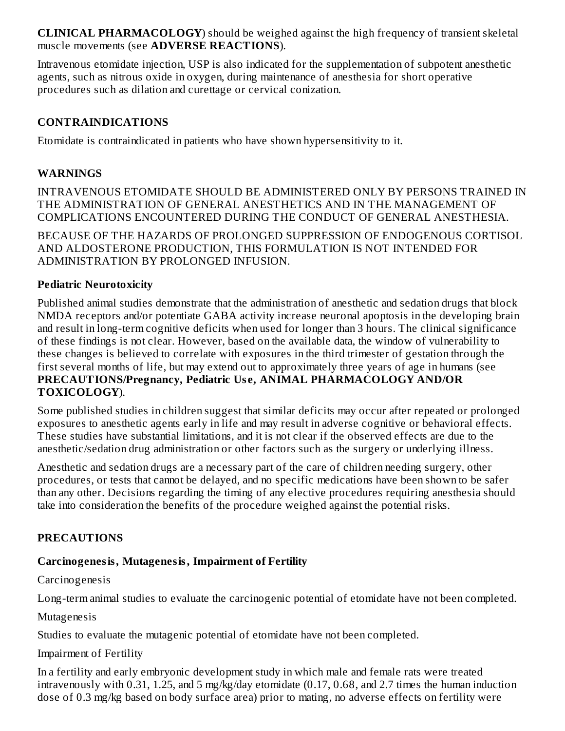**CLINICAL PHARMACOLOGY**) should be weighed against the high frequency of transient skeletal muscle movements (see **ADVERSE REACTIONS**).

Intravenous etomidate injection, USP is also indicated for the supplementation of subpotent anesthetic agents, such as nitrous oxide in oxygen, during maintenance of anesthesia for short operative procedures such as dilation and curettage or cervical conization.

# **CONTRAINDICATIONS**

Etomidate is contraindicated in patients who have shown hypersensitivity to it.

#### **WARNINGS**

INTRAVENOUS ETOMIDATE SHOULD BE ADMINISTERED ONLY BY PERSONS TRAINED IN THE ADMINISTRATION OF GENERAL ANESTHETICS AND IN THE MANAGEMENT OF COMPLICATIONS ENCOUNTERED DURING THE CONDUCT OF GENERAL ANESTHESIA.

BECAUSE OF THE HAZARDS OF PROLONGED SUPPRESSION OF ENDOGENOUS CORTISOL AND ALDOSTERONE PRODUCTION, THIS FORMULATION IS NOT INTENDED FOR ADMINISTRATION BY PROLONGED INFUSION.

#### **Pediatric Neurotoxicity**

Published animal studies demonstrate that the administration of anesthetic and sedation drugs that block NMDA receptors and/or potentiate GABA activity increase neuronal apoptosis in the developing brain and result in long-term cognitive deficits when used for longer than 3 hours. The clinical significance of these findings is not clear. However, based on the available data, the window of vulnerability to these changes is believed to correlate with exposures in the third trimester of gestation through the first several months of life, but may extend out to approximately three years of age in humans (see **PRECAUTIONS/Pregnancy, Pediatric Us e, ANIMAL PHARMACOLOGY AND/OR TOXICOLOGY**).

Some published studies in children suggest that similar deficits may occur after repeated or prolonged exposures to anesthetic agents early in life and may result in adverse cognitive or behavioral effects. These studies have substantial limitations, and it is not clear if the observed effects are due to the anesthetic/sedation drug administration or other factors such as the surgery or underlying illness.

Anesthetic and sedation drugs are a necessary part of the care of children needing surgery, other procedures, or tests that cannot be delayed, and no specific medications have been shown to be safer than any other. Decisions regarding the timing of any elective procedures requiring anesthesia should take into consideration the benefits of the procedure weighed against the potential risks.

# **PRECAUTIONS**

# **Carcinogenesis, Mutagenesis, Impairment of Fertility**

Carcinogenesis

Long-term animal studies to evaluate the carcinogenic potential of etomidate have not been completed.

Mutagenesis

Studies to evaluate the mutagenic potential of etomidate have not been completed.

#### Impairment of Fertility

In a fertility and early embryonic development study in which male and female rats were treated intravenously with 0.31, 1.25, and 5 mg/kg/day etomidate (0.17, 0.68, and 2.7 times the human induction dose of 0.3 mg/kg based on body surface area) prior to mating, no adverse effects on fertility were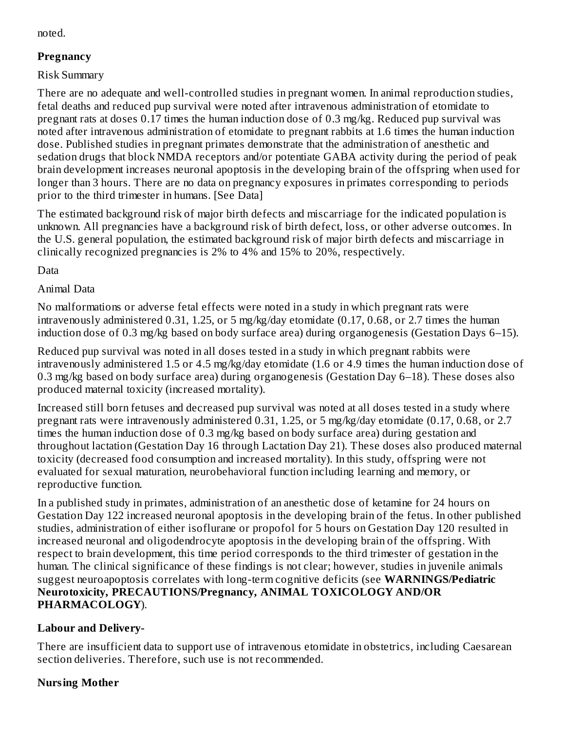noted.

# **Pregnancy**

Risk Summary

There are no adequate and well-controlled studies in pregnant women. In animal reproduction studies, fetal deaths and reduced pup survival were noted after intravenous administration of etomidate to pregnant rats at doses 0.17 times the human induction dose of 0.3 mg/kg. Reduced pup survival was noted after intravenous administration of etomidate to pregnant rabbits at 1.6 times the human induction dose. Published studies in pregnant primates demonstrate that the administration of anesthetic and sedation drugs that block NMDA receptors and/or potentiate GABA activity during the period of peak brain development increases neuronal apoptosis in the developing brain of the offspring when used for longer than 3 hours. There are no data on pregnancy exposures in primates corresponding to periods prior to the third trimester in humans. [See Data]

The estimated background risk of major birth defects and miscarriage for the indicated population is unknown. All pregnancies have a background risk of birth defect, loss, or other adverse outcomes. In the U.S. general population, the estimated background risk of major birth defects and miscarriage in clinically recognized pregnancies is 2% to 4% and 15% to 20%, respectively.

Data

# Animal Data

No malformations or adverse fetal effects were noted in a study in which pregnant rats were intravenously administered 0.31, 1.25, or 5 mg/kg/day etomidate (0.17, 0.68, or 2.7 times the human induction dose of 0.3 mg/kg based on body surface area) during organogenesis (Gestation Days 6–15).

Reduced pup survival was noted in all doses tested in a study in which pregnant rabbits were intravenously administered 1.5 or 4.5 mg/kg/day etomidate (1.6 or 4.9 times the human induction dose of 0.3 mg/kg based on body surface area) during organogenesis (Gestation Day 6–18). These doses also produced maternal toxicity (increased mortality).

Increased still born fetuses and decreased pup survival was noted at all doses tested in a study where pregnant rats were intravenously administered 0.31, 1.25, or 5 mg/kg/day etomidate (0.17, 0.68, or 2.7 times the human induction dose of 0.3 mg/kg based on body surface area) during gestation and throughout lactation (Gestation Day 16 through Lactation Day 21). These doses also produced maternal toxicity (decreased food consumption and increased mortality). In this study, offspring were not evaluated for sexual maturation, neurobehavioral function including learning and memory, or reproductive function.

In a published study in primates, administration of an anesthetic dose of ketamine for 24 hours on Gestation Day 122 increased neuronal apoptosis in the developing brain of the fetus. In other published studies, administration of either isoflurane or propofol for 5 hours on Gestation Day 120 resulted in increased neuronal and oligodendrocyte apoptosis in the developing brain of the offspring. With respect to brain development, this time period corresponds to the third trimester of gestation in the human. The clinical significance of these findings is not clear; however, studies in juvenile animals suggest neuroapoptosis correlates with long-term cognitive deficits (see **WARNINGS/Pediatric Neurotoxicity, PRECAUTIONS/Pregnancy, ANIMAL TOXICOLOGY AND/OR PHARMACOLOGY**).

# **Labour and Delivery-**

There are insufficient data to support use of intravenous etomidate in obstetrics, including Caesarean section deliveries. Therefore, such use is not recommended.

# **Nursing Mother**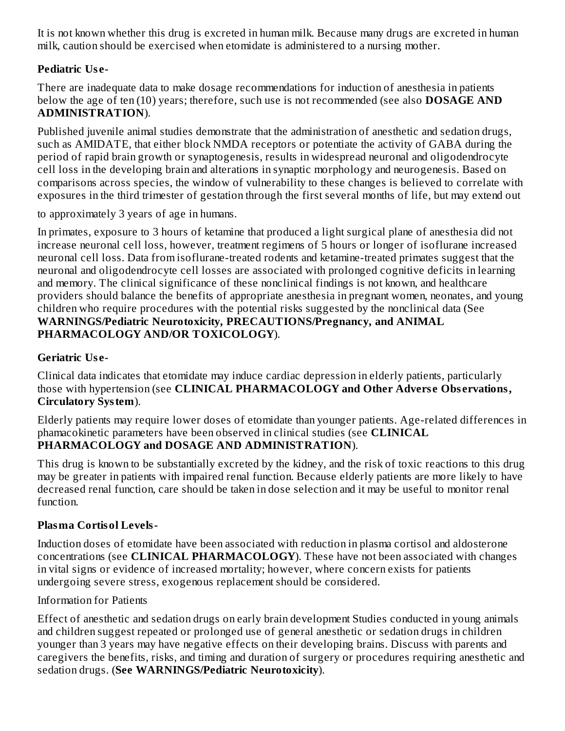It is not known whether this drug is excreted in human milk. Because many drugs are excreted in human milk, caution should be exercised when etomidate is administered to a nursing mother.

#### **Pediatric Us e-**

There are inadequate data to make dosage recommendations for induction of anesthesia in patients below the age of ten (10) years; therefore, such use is not recommended (see also **DOSAGE AND ADMINISTRATION**).

Published juvenile animal studies demonstrate that the administration of anesthetic and sedation drugs, such as AMIDATE, that either block NMDA receptors or potentiate the activity of GABA during the period of rapid brain growth or synaptogenesis, results in widespread neuronal and oligodendrocyte cell loss in the developing brain and alterations in synaptic morphology and neurogenesis. Based on comparisons across species, the window of vulnerability to these changes is believed to correlate with exposures in the third trimester of gestation through the first several months of life, but may extend out

to approximately 3 years of age in humans.

In primates, exposure to 3 hours of ketamine that produced a light surgical plane of anesthesia did not increase neuronal cell loss, however, treatment regimens of 5 hours or longer of isoflurane increased neuronal cell loss. Data from isoflurane-treated rodents and ketamine-treated primates suggest that the neuronal and oligodendrocyte cell losses are associated with prolonged cognitive deficits in learning and memory. The clinical significance of these nonclinical findings is not known, and healthcare providers should balance the benefits of appropriate anesthesia in pregnant women, neonates, and young children who require procedures with the potential risks suggested by the nonclinical data (See **WARNINGS/Pediatric Neurotoxicity, PRECAUTIONS/Pregnancy, and ANIMAL PHARMACOLOGY AND/OR TOXICOLOGY**).

#### **Geriatric Us e-**

Clinical data indicates that etomidate may induce cardiac depression in elderly patients, particularly those with hypertension (see **CLINICAL PHARMACOLOGY and Other Advers e Obs ervations, Circulatory System**).

Elderly patients may require lower doses of etomidate than younger patients. Age-related differences in phamacokinetic parameters have been observed in clinical studies (see **CLINICAL PHARMACOLOGY and DOSAGE AND ADMINISTRATION**).

This drug is known to be substantially excreted by the kidney, and the risk of toxic reactions to this drug may be greater in patients with impaired renal function. Because elderly patients are more likely to have decreased renal function, care should be taken in dose selection and it may be useful to monitor renal function.

# **Plasma Cortisol Levels-**

Induction doses of etomidate have been associated with reduction in plasma cortisol and aldosterone concentrations (see **CLINICAL PHARMACOLOGY**). These have not been associated with changes in vital signs or evidence of increased mortality; however, where concern exists for patients undergoing severe stress, exogenous replacement should be considered.

#### Information for Patients

Effect of anesthetic and sedation drugs on early brain development Studies conducted in young animals and children suggest repeated or prolonged use of general anesthetic or sedation drugs in children younger than 3 years may have negative effects on their developing brains. Discuss with parents and caregivers the benefits, risks, and timing and duration of surgery or procedures requiring anesthetic and sedation drugs. (**See WARNINGS/Pediatric Neurotoxicity**).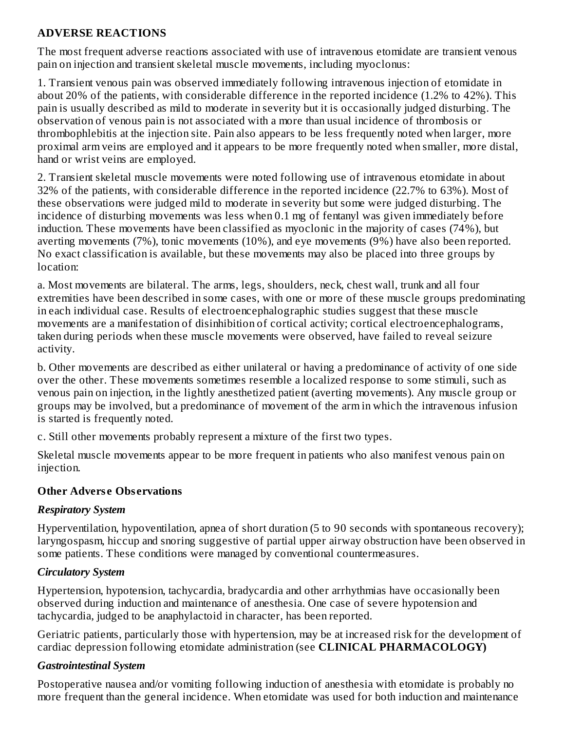#### **ADVERSE REACTIONS**

The most frequent adverse reactions associated with use of intravenous etomidate are transient venous pain on injection and transient skeletal muscle movements, including myoclonus:

1. Transient venous pain was observed immediately following intravenous injection of etomidate in about 20% of the patients, with considerable difference in the reported incidence (1.2% to 42%). This pain is usually described as mild to moderate in severity but it is occasionally judged disturbing. The observation of venous pain is not associated with a more than usual incidence of thrombosis or thrombophlebitis at the injection site. Pain also appears to be less frequently noted when larger, more proximal arm veins are employed and it appears to be more frequently noted when smaller, more distal, hand or wrist veins are employed.

2. Transient skeletal muscle movements were noted following use of intravenous etomidate in about 32% of the patients, with considerable difference in the reported incidence (22.7% to 63%). Most of these observations were judged mild to moderate in severity but some were judged disturbing. The incidence of disturbing movements was less when 0.1 mg of fentanyl was given immediately before induction. These movements have been classified as myoclonic in the majority of cases (74%), but averting movements (7%), tonic movements (10%), and eye movements (9%) have also been reported. No exact classification is available, but these movements may also be placed into three groups by location:

a. Most movements are bilateral. The arms, legs, shoulders, neck, chest wall, trunk and all four extremities have been described in some cases, with one or more of these muscle groups predominating in each individual case. Results of electroencephalographic studies suggest that these muscle movements are a manifestation of disinhibition of cortical activity; cortical electroencephalograms, taken during periods when these muscle movements were observed, have failed to reveal seizure activity.

b. Other movements are described as either unilateral or having a predominance of activity of one side over the other. These movements sometimes resemble a localized response to some stimuli, such as venous pain on injection, in the lightly anesthetized patient (averting movements). Any muscle group or groups may be involved, but a predominance of movement of the arm in which the intravenous infusion is started is frequently noted.

c. Still other movements probably represent a mixture of the first two types.

Skeletal muscle movements appear to be more frequent in patients who also manifest venous pain on injection.

#### **Other Advers e Obs ervations**

#### *Respiratory System*

Hyperventilation, hypoventilation, apnea of short duration (5 to 90 seconds with spontaneous recovery); laryngospasm, hiccup and snoring suggestive of partial upper airway obstruction have been observed in some patients. These conditions were managed by conventional countermeasures.

# *Circulatory System*

Hypertension, hypotension, tachycardia, bradycardia and other arrhythmias have occasionally been observed during induction and maintenance of anesthesia. One case of severe hypotension and tachycardia, judged to be anaphylactoid in character, has been reported.

Geriatric patients, particularly those with hypertension, may be at increased risk for the development of cardiac depression following etomidate administration (see **CLINICAL PHARMACOLOGY)**

# *Gastrointestinal System*

Postoperative nausea and/or vomiting following induction of anesthesia with etomidate is probably no more frequent than the general incidence. When etomidate was used for both induction and maintenance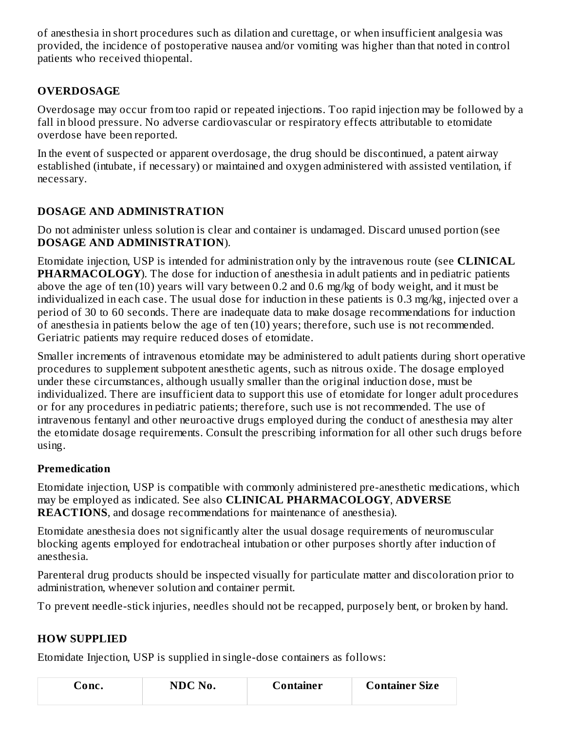of anesthesia in short procedures such as dilation and curettage, or when insufficient analgesia was provided, the incidence of postoperative nausea and/or vomiting was higher than that noted in control patients who received thiopental.

# **OVERDOSAGE**

Overdosage may occur from too rapid or repeated injections. Too rapid injection may be followed by a fall in blood pressure. No adverse cardiovascular or respiratory effects attributable to etomidate overdose have been reported.

In the event of suspected or apparent overdosage, the drug should be discontinued, a patent airway established (intubate, if necessary) or maintained and oxygen administered with assisted ventilation, if necessary.

# **DOSAGE AND ADMINISTRATION**

Do not administer unless solution is clear and container is undamaged. Discard unused portion (see **DOSAGE AND ADMINISTRATION**).

Etomidate injection, USP is intended for administration only by the intravenous route (see **CLINICAL PHARMACOLOGY**). The dose for induction of anesthesia in adult patients and in pediatric patients above the age of ten (10) years will vary between 0.2 and 0.6 mg/kg of body weight, and it must be individualized in each case. The usual dose for induction in these patients is 0.3 mg/kg, injected over a period of 30 to 60 seconds. There are inadequate data to make dosage recommendations for induction of anesthesia in patients below the age of ten (10) years; therefore, such use is not recommended. Geriatric patients may require reduced doses of etomidate.

Smaller increments of intravenous etomidate may be administered to adult patients during short operative procedures to supplement subpotent anesthetic agents, such as nitrous oxide. The dosage employed under these circumstances, although usually smaller than the original induction dose, must be individualized. There are insufficient data to support this use of etomidate for longer adult procedures or for any procedures in pediatric patients; therefore, such use is not recommended. The use of intravenous fentanyl and other neuroactive drugs employed during the conduct of anesthesia may alter the etomidate dosage requirements. Consult the prescribing information for all other such drugs before using.

# **Premedication**

Etomidate injection, USP is compatible with commonly administered pre-anesthetic medications, which may be employed as indicated. See also **CLINICAL PHARMACOLOGY**, **ADVERSE REACTIONS**, and dosage recommendations for maintenance of anesthesia).

Etomidate anesthesia does not significantly alter the usual dosage requirements of neuromuscular blocking agents employed for endotracheal intubation or other purposes shortly after induction of anesthesia.

Parenteral drug products should be inspected visually for particulate matter and discoloration prior to administration, whenever solution and container permit.

To prevent needle-stick injuries, needles should not be recapped, purposely bent, or broken by hand.

# **HOW SUPPLIED**

Etomidate Injection, USP is supplied in single-dose containers as follows:

| $\mathsf{\cup one.}$ | NDC No. | Container | <b>Container Size</b> |  |
|----------------------|---------|-----------|-----------------------|--|
|                      |         |           |                       |  |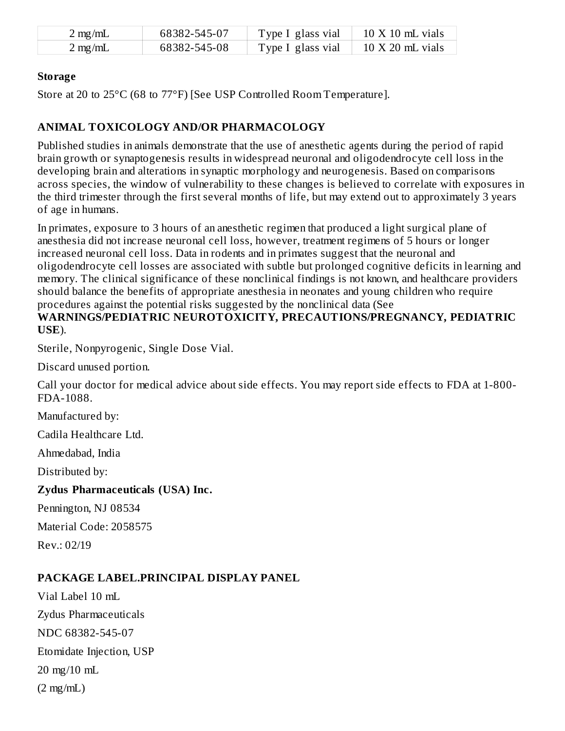| $2 \text{ mg/mL}$ | 68382-545-07 | Type I glass vial | $10 \text{ X } 10 \text{ mL}$ vials  |
|-------------------|--------------|-------------------|--------------------------------------|
| $2 \text{ mg/mL}$ | 68382-545-08 | Type I glass vial | $10 \text{ X } 20 \text{ mL }$ vials |

#### **Storage**

Store at 20 to 25°C (68 to 77°F) [See USP Controlled Room Temperature].

#### **ANIMAL TOXICOLOGY AND/OR PHARMACOLOGY**

Published studies in animals demonstrate that the use of anesthetic agents during the period of rapid brain growth or synaptogenesis results in widespread neuronal and oligodendrocyte cell loss in the developing brain and alterations in synaptic morphology and neurogenesis. Based on comparisons across species, the window of vulnerability to these changes is believed to correlate with exposures in the third trimester through the first several months of life, but may extend out to approximately 3 years of age in humans.

In primates, exposure to 3 hours of an anesthetic regimen that produced a light surgical plane of anesthesia did not increase neuronal cell loss, however, treatment regimens of 5 hours or longer increased neuronal cell loss. Data in rodents and in primates suggest that the neuronal and oligodendrocyte cell losses are associated with subtle but prolonged cognitive deficits in learning and memory. The clinical significance of these nonclinical findings is not known, and healthcare providers should balance the benefits of appropriate anesthesia in neonates and young children who require procedures against the potential risks suggested by the nonclinical data (See **WARNINGS/PEDIATRIC NEUROTOXICITY, PRECAUTIONS/PREGNANCY, PEDIATRIC**

**USE**).

Sterile, Nonpyrogenic, Single Dose Vial.

Discard unused portion.

Call your doctor for medical advice about side effects. You may report side effects to FDA at 1-800- FDA-1088.

Manufactured by:

Cadila Healthcare Ltd.

Ahmedabad, India

Distributed by:

#### **Zydus Pharmaceuticals (USA) Inc.**

Pennington, NJ 08534

Material Code: 2058575

Rev.: 02/19

#### **PACKAGE LABEL.PRINCIPAL DISPLAY PANEL**

Vial Label 10 mL Zydus Pharmaceuticals NDC 68382-545-07 Etomidate Injection, USP 20 mg/10 mL  $(2 \text{ mg/mL})$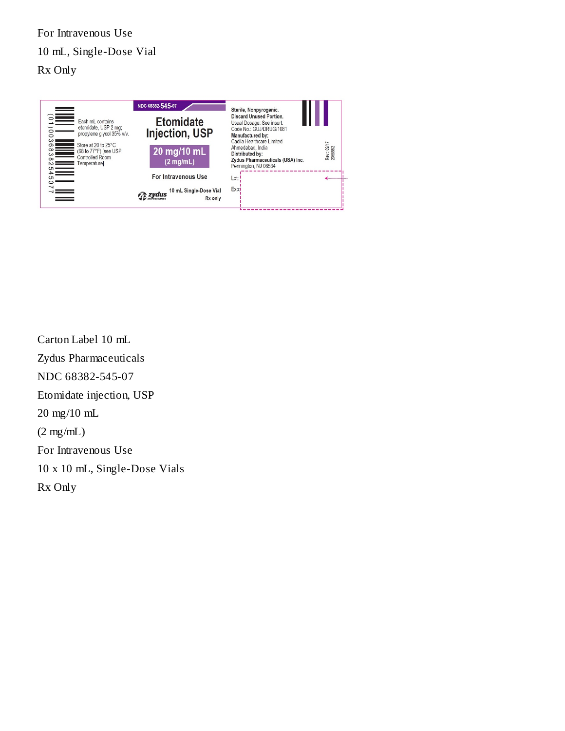For Intravenous Use 10 mL, Single-Dose Vial Rx Only



Carton Label 10 mL Zydus Pharmaceuticals NDC 68382-545-07 Etomidate injection, USP 20 mg/10 mL (2 mg/mL) For Intravenous Use 10 x 10 mL, Single-Dose Vials Rx Only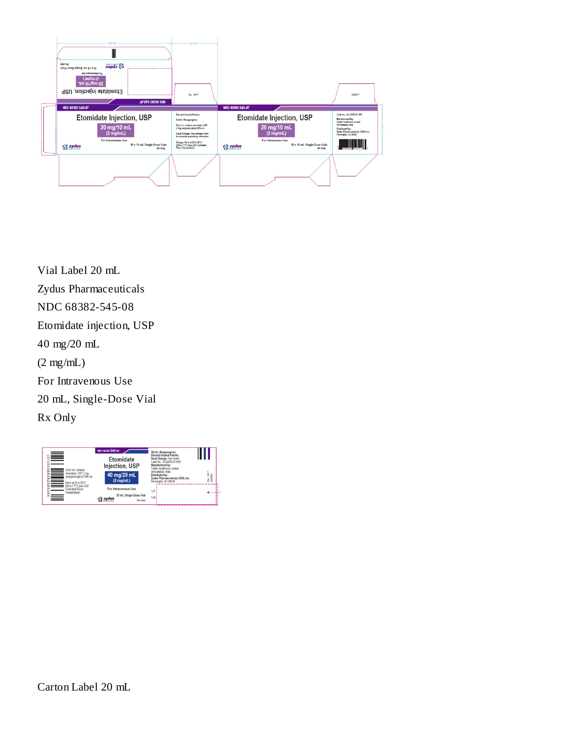

Vial Label 20 mL Zydus Pharmaceuticals NDC 68382-545-08 Etomidate injection, USP 40 mg/20 mL (2 mg/mL) For Intravenous Use 20 mL, Single-Dose Vial Rx Only

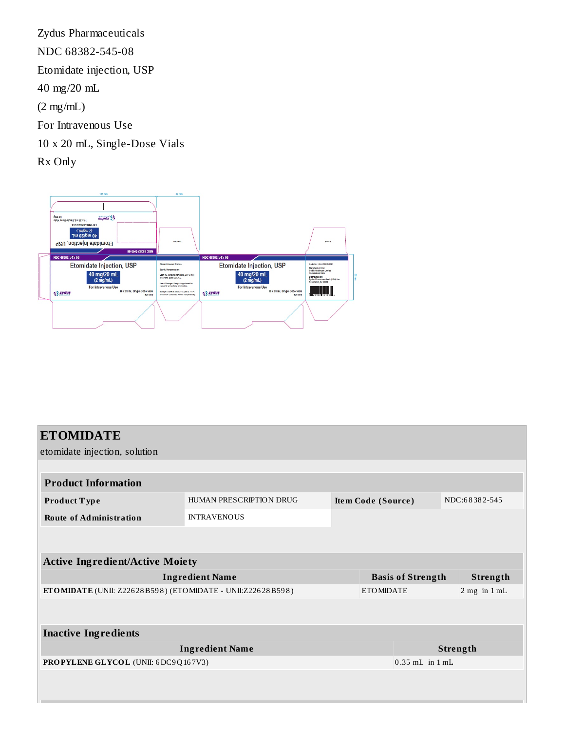Zydus Pharmaceuticals NDC 68382-545-08 Etomidate injection, USP 40 mg/20 mL (2 mg/mL) For Intravenous Use 10 x 20 mL, Single-Dose Vials Rx Only



| <b>ETOMIDATE</b><br>etomidate injection, solution          |                         |                                     |                          |  |  |                  |
|------------------------------------------------------------|-------------------------|-------------------------------------|--------------------------|--|--|------------------|
|                                                            |                         |                                     |                          |  |  |                  |
| <b>Product Information</b>                                 |                         |                                     |                          |  |  |                  |
| Product Type                                               | HUMAN PRESCRIPTION DRUG | NDC:68382-545<br>Item Code (Source) |                          |  |  |                  |
| <b>Route of Administration</b>                             | <b>INTRAVENOUS</b>      |                                     |                          |  |  |                  |
|                                                            |                         |                                     |                          |  |  |                  |
| <b>Active Ingredient/Active Moiety</b>                     |                         |                                     |                          |  |  |                  |
| <b>Ingredient Name</b>                                     |                         |                                     | <b>Basis of Strength</b> |  |  | Strength         |
| ETOMIDATE (UNII: Z22628B598) (ETOMIDATE - UNII:Z22628B598) |                         |                                     | <b>ETOMIDATE</b>         |  |  | $2$ mg in $1$ mL |
|                                                            |                         |                                     |                          |  |  |                  |
| <b>Inactive Ingredients</b>                                |                         |                                     |                          |  |  |                  |
| <b>Ingredient Name</b>                                     |                         |                                     | Strength                 |  |  |                  |
| PROPYLENE GLYCOL (UNII: 6DC9Q167V3)                        |                         |                                     | $0.35$ mL in $1$ mL      |  |  |                  |
|                                                            |                         |                                     |                          |  |  |                  |
|                                                            |                         |                                     |                          |  |  |                  |